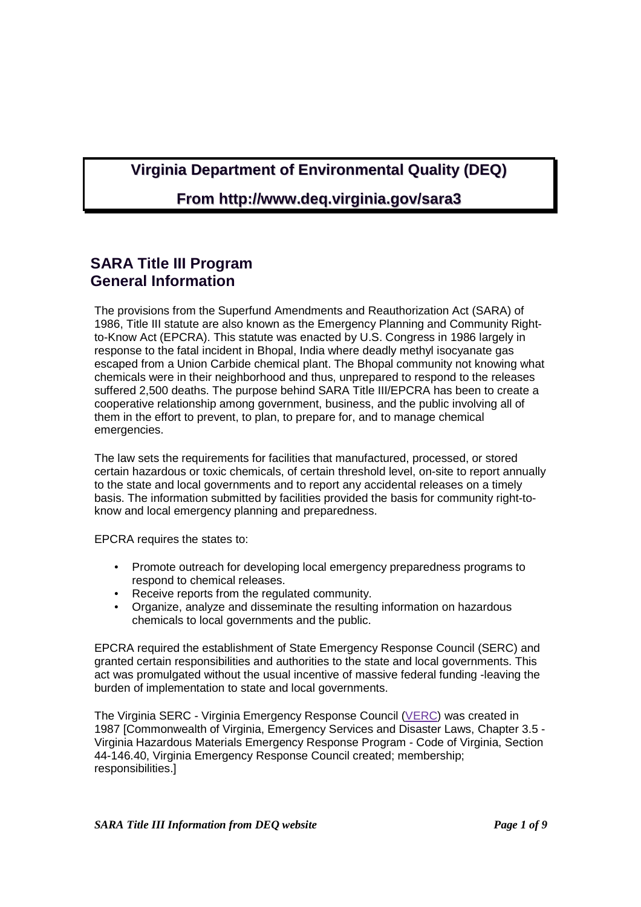# **Virginia Department of Environmental Quality (DEQ)**

# **From http://www.deq.virginia.gov/sara3**

# **SARA Title III Program General Information**

The provisions from the Superfund Amendments and Reauthorization Act (SARA) of 1986, Title III statute are also known as the Emergency Planning and Community Rightto-Know Act (EPCRA). This statute was enacted by U.S. Congress in 1986 largely in response to the fatal incident in Bhopal, India where deadly methyl isocyanate gas escaped from a Union Carbide chemical plant. The Bhopal community not knowing what chemicals were in their neighborhood and thus, unprepared to respond to the releases suffered 2,500 deaths. The purpose behind SARA Title III/EPCRA has been to create a cooperative relationship among government, business, and the public involving all of them in the effort to prevent, to plan, to prepare for, and to manage chemical emergencies.

The law sets the requirements for facilities that manufactured, processed, or stored certain hazardous or toxic chemicals, of certain threshold level, on-site to report annually to the state and local governments and to report any accidental releases on a timely basis. The information submitted by facilities provided the basis for community right-toknow and local emergency planning and preparedness.

EPCRA requires the states to:

- Promote outreach for developing local emergency preparedness programs to respond to chemical releases.
- Receive reports from the regulated community.
- Organize, analyze and disseminate the resulting information on hazardous chemicals to local governments and the public.

EPCRA required the establishment of State Emergency Response Council (SERC) and granted certain responsibilities and authorities to the state and local governments. This act was promulgated without the usual incentive of massive federal funding -leaving the burden of implementation to state and local governments.

The Virginia SERC - Virginia Emergency Response Council (VERC) was created in 1987 [Commonwealth of Virginia, Emergency Services and Disaster Laws, Chapter 3.5 - Virginia Hazardous Materials Emergency Response Program - Code of Virginia, Section 44-146.40, Virginia Emergency Response Council created; membership; responsibilities.]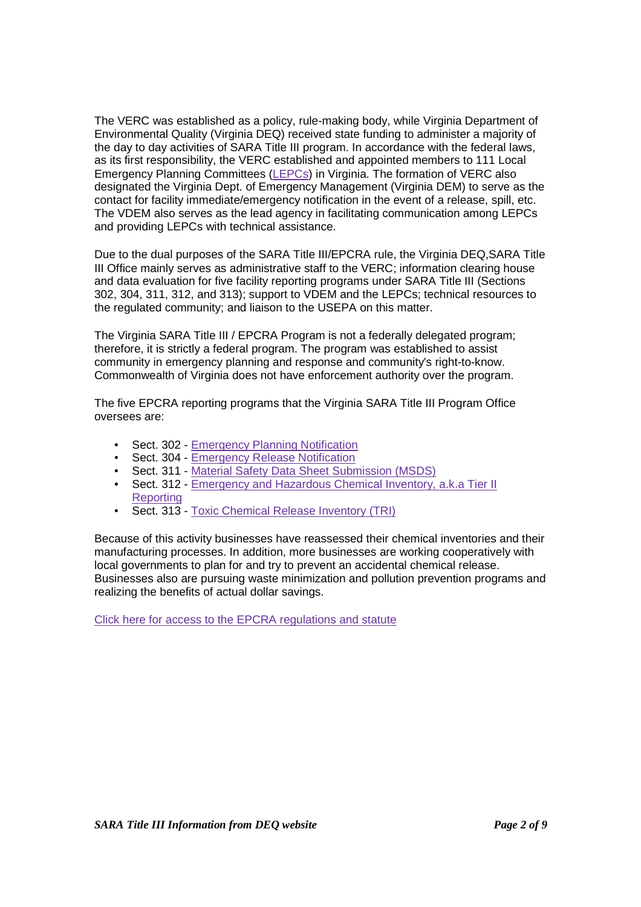The VERC was established as a policy, rule-making body, while Virginia Department of Environmental Quality (Virginia DEQ) received state funding to administer a majority of the day to day activities of SARA Title III program. In accordance with the federal laws, as its first responsibility, the VERC established and appointed members to 111 Local Emergency Planning Committees (LEPCs) in Virginia. The formation of VERC also designated the Virginia Dept. of Emergency Management (Virginia DEM) to serve as the contact for facility immediate/emergency notification in the event of a release, spill, etc. The VDEM also serves as the lead agency in facilitating communication among LEPCs and providing LEPCs with technical assistance.

Due to the dual purposes of the SARA Title III/EPCRA rule, the Virginia DEQ,SARA Title III Office mainly serves as administrative staff to the VERC; information clearing house and data evaluation for five facility reporting programs under SARA Title III (Sections 302, 304, 311, 312, and 313); support to VDEM and the LEPCs; technical resources to the regulated community; and liaison to the USEPA on this matter.

The Virginia SARA Title III / EPCRA Program is not a federally delegated program; therefore, it is strictly a federal program. The program was established to assist community in emergency planning and response and community's right-to-know. Commonwealth of Virginia does not have enforcement authority over the program.

The five EPCRA reporting programs that the Virginia SARA Title III Program Office oversees are:

- Sect. 302 Emergency Planning Notification
- Sect. 304 Emergency Release Notification
- Sect. 311 Material Safety Data Sheet Submission (MSDS)
- Sect. 312 Emergency and Hazardous Chemical Inventory, a.k. a Tier II Reporting
- Sect. 313 Toxic Chemical Release Inventory (TRI)

Because of this activity businesses have reassessed their chemical inventories and their manufacturing processes. In addition, more businesses are working cooperatively with local governments to plan for and try to prevent an accidental chemical release. Businesses also are pursuing waste minimization and pollution prevention programs and realizing the benefits of actual dollar savings.

Click here for access to the EPCRA regulations and statute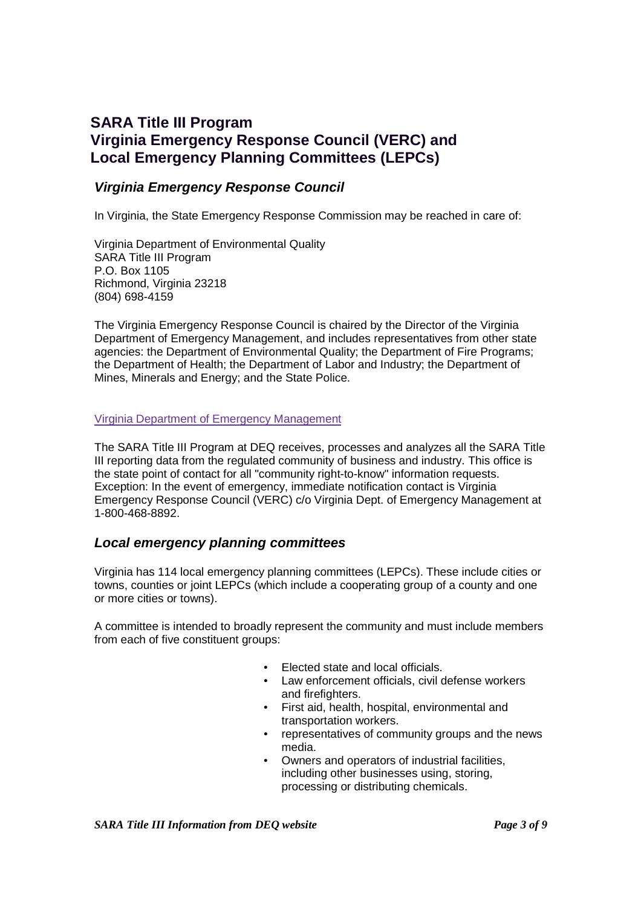# **SARA Title III Program Virginia Emergency Response Council (VERC) and Local Emergency Planning Committees (LEPCs)**

### **Virginia Emergency Response Council**

In Virginia, the State Emergency Response Commission may be reached in care of:

Virginia Department of Environmental Quality SARA Title III Program P.O. Box 1105 Richmond, Virginia 23218 (804) 698-4159

The Virginia Emergency Response Council is chaired by the Director of the Virginia Department of Emergency Management, and includes representatives from other state agencies: the Department of Environmental Quality; the Department of Fire Programs; the Department of Health; the Department of Labor and Industry; the Department of Mines, Minerals and Energy; and the State Police.

#### Virginia Department of Emergency Management

The SARA Title III Program at DEQ receives, processes and analyzes all the SARA Title III reporting data from the regulated community of business and industry. This office is the state point of contact for all "community right-to-know" information requests. Exception: In the event of emergency, immediate notification contact is Virginia Emergency Response Council (VERC) c/o Virginia Dept. of Emergency Management at 1-800-468-8892.

### **Local emergency planning committees**

Virginia has 114 local emergency planning committees (LEPCs). These include cities or towns, counties or joint LEPCs (which include a cooperating group of a county and one or more cities or towns).

A committee is intended to broadly represent the community and must include members from each of five constituent groups:

- Elected state and local officials.
- Law enforcement officials, civil defense workers and firefighters.
- First aid, health, hospital, environmental and transportation workers.
- representatives of community groups and the news media.
- Owners and operators of industrial facilities, including other businesses using, storing, processing or distributing chemicals.

*SARA Title III Information from DEQ website* Page 3 of 9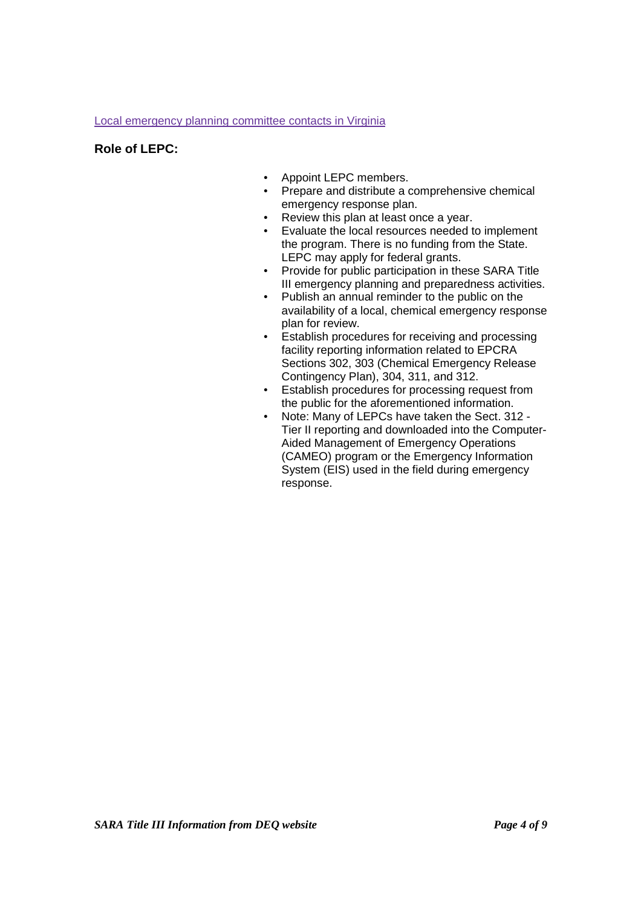#### Local emergency planning committee contacts in Virginia

#### **Role of LEPC:**

- Appoint LEPC members.
- Prepare and distribute a comprehensive chemical emergency response plan.
- Review this plan at least once a year.
- Evaluate the local resources needed to implement the program. There is no funding from the State. LEPC may apply for federal grants.
- Provide for public participation in these SARA Title III emergency planning and preparedness activities.
- Publish an annual reminder to the public on the availability of a local, chemical emergency response plan for review.
- Establish procedures for receiving and processing facility reporting information related to EPCRA Sections 302, 303 (Chemical Emergency Release Contingency Plan), 304, 311, and 312.
- Establish procedures for processing request from the public for the aforementioned information.
- Note: Many of LEPCs have taken the Sect. 312 Tier II reporting and downloaded into the Computer-Aided Management of Emergency Operations (CAMEO) program or the Emergency Information System (EIS) used in the field during emergency response.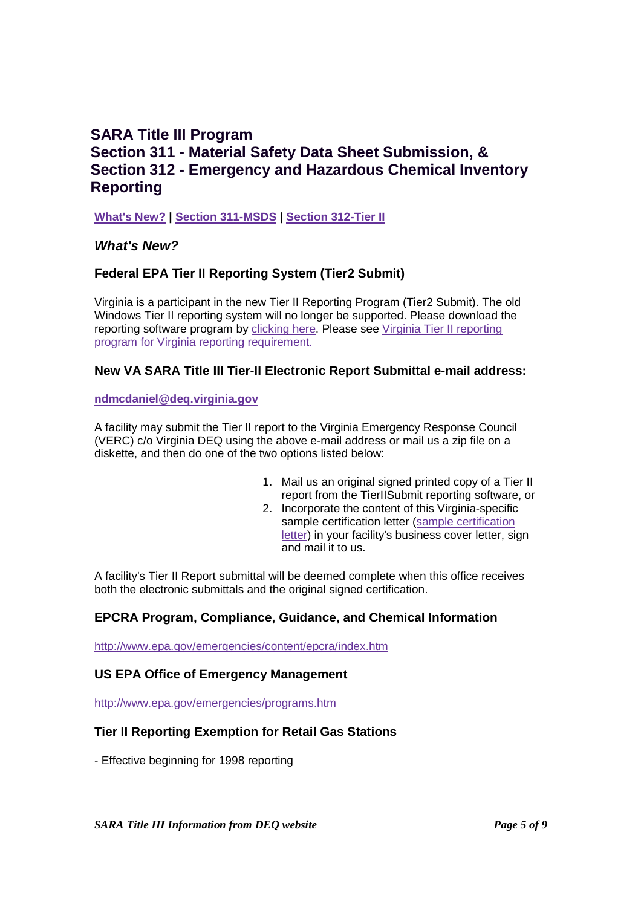## **SARA Title III Program Section 311 - Material Safety Data Sheet Submission, & Section 312 - Emergency and Hazardous Chemical Inventory Reporting**

**What's New? | Section 311-MSDS | Section 312-Tier II**

### **What's New?**

### **Federal EPA Tier II Reporting System (Tier2 Submit)**

Virginia is a participant in the new Tier II Reporting Program (Tier2 Submit). The old Windows Tier II reporting system will no longer be supported. Please download the reporting software program by clicking here. Please see Virginia Tier II reporting program for Virginia reporting requirement.

#### **New VA SARA Title III Tier-II Electronic Report Submittal e-mail address:**

**ndmcdaniel@deq.virginia.gov**

A facility may submit the Tier II report to the Virginia Emergency Response Council (VERC) c/o Virginia DEQ using the above e-mail address or mail us a zip file on a diskette, and then do one of the two options listed below:

- 1. Mail us an original signed printed copy of a Tier II report from the TierIISubmit reporting software, or
- 2. Incorporate the content of this Virginia-specific sample certification letter (sample certification letter) in your facility's business cover letter, sign and mail it to us.

A facility's Tier II Report submittal will be deemed complete when this office receives both the electronic submittals and the original signed certification.

### **EPCRA Program, Compliance, Guidance, and Chemical Information**

http://www.epa.gov/emergencies/content/epcra/index.htm

#### **US EPA Office of Emergency Management**

http://www.epa.gov/emergencies/programs.htm

### **Tier II Reporting Exemption for Retail Gas Stations**

- Effective beginning for 1998 reporting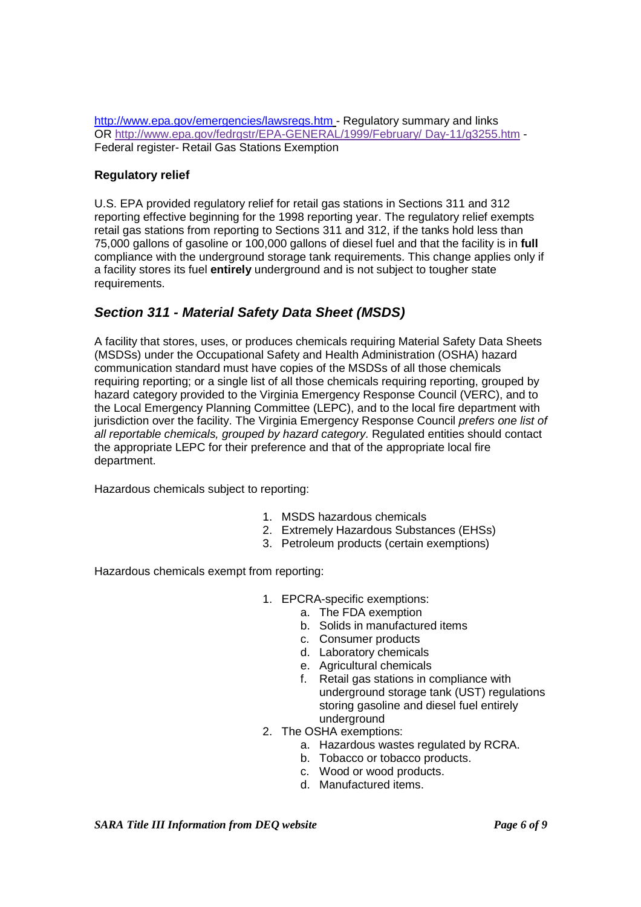http://www.epa.gov/emergencies/lawsregs.htm - Regulatory summary and links OR http://www.epa.gov/fedrgstr/EPA-GENERAL/1999/February/ Day-11/g3255.htm - Federal register- Retail Gas Stations Exemption

#### **Regulatory relief**

U.S. EPA provided regulatory relief for retail gas stations in Sections 311 and 312 reporting effective beginning for the 1998 reporting year. The regulatory relief exempts retail gas stations from reporting to Sections 311 and 312, if the tanks hold less than 75,000 gallons of gasoline or 100,000 gallons of diesel fuel and that the facility is in **full** compliance with the underground storage tank requirements. This change applies only if a facility stores its fuel **entirely** underground and is not subject to tougher state requirements.

## **Section 311 - Material Safety Data Sheet (MSDS)**

A facility that stores, uses, or produces chemicals requiring Material Safety Data Sheets (MSDSs) under the Occupational Safety and Health Administration (OSHA) hazard communication standard must have copies of the MSDSs of all those chemicals requiring reporting; or a single list of all those chemicals requiring reporting, grouped by hazard category provided to the Virginia Emergency Response Council (VERC), and to the Local Emergency Planning Committee (LEPC), and to the local fire department with jurisdiction over the facility. The Virginia Emergency Response Council prefers one list of all reportable chemicals, grouped by hazard category. Regulated entities should contact the appropriate LEPC for their preference and that of the appropriate local fire department.

Hazardous chemicals subject to reporting:

- 1. MSDS hazardous chemicals
- 2. Extremely Hazardous Substances (EHSs)
- 3. Petroleum products (certain exemptions)

Hazardous chemicals exempt from reporting:

- 1. EPCRA-specific exemptions:
	- a. The FDA exemption
	- b. Solids in manufactured items
	- c. Consumer products
	- d. Laboratory chemicals
	- e. Agricultural chemicals
	- f. Retail gas stations in compliance with underground storage tank (UST) regulations storing gasoline and diesel fuel entirely underground
- 2. The OSHA exemptions:
	- a. Hazardous wastes regulated by RCRA.
	- b. Tobacco or tobacco products.
	- c. Wood or wood products.
	- d. Manufactured items.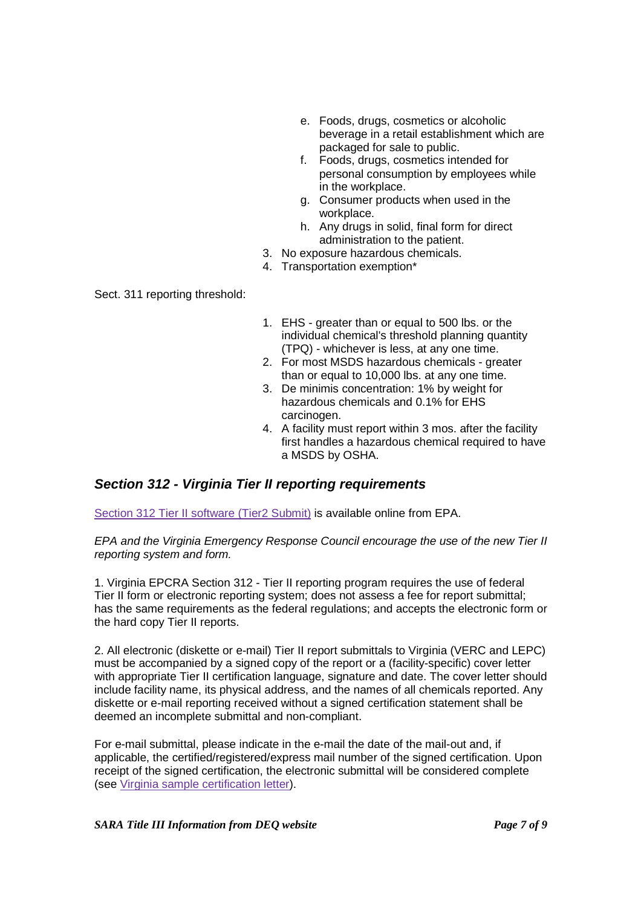- e. Foods, drugs, cosmetics or alcoholic beverage in a retail establishment which are packaged for sale to public.
- f. Foods, drugs, cosmetics intended for personal consumption by employees while in the workplace.
- g. Consumer products when used in the workplace.
- h. Any drugs in solid, final form for direct administration to the patient.
- 3. No exposure hazardous chemicals.
- 4. Transportation exemption\*

Sect. 311 reporting threshold:

- 1. EHS greater than or equal to 500 lbs. or the individual chemical's threshold planning quantity (TPQ) - whichever is less, at any one time.
- 2. For most MSDS hazardous chemicals greater than or equal to 10,000 lbs. at any one time.
- 3. De minimis concentration: 1% by weight for hazardous chemicals and 0.1% for EHS carcinogen.
- 4. A facility must report within 3 mos. after the facility first handles a hazardous chemical required to have a MSDS by OSHA.

## **Section 312 - Virginia Tier II reporting requirements**

Section 312 Tier II software (Tier2 Submit) is available online from EPA.

EPA and the Virginia Emergency Response Council encourage the use of the new Tier II reporting system and form.

1. Virginia EPCRA Section 312 - Tier II reporting program requires the use of federal Tier II form or electronic reporting system; does not assess a fee for report submittal; has the same requirements as the federal regulations; and accepts the electronic form or the hard copy Tier II reports.

2. All electronic (diskette or e-mail) Tier II report submittals to Virginia (VERC and LEPC) must be accompanied by a signed copy of the report or a (facility-specific) cover letter with appropriate Tier II certification language, signature and date. The cover letter should include facility name, its physical address, and the names of all chemicals reported. Any diskette or e-mail reporting received without a signed certification statement shall be deemed an incomplete submittal and non-compliant.

For e-mail submittal, please indicate in the e-mail the date of the mail-out and, if applicable, the certified/registered/express mail number of the signed certification. Upon receipt of the signed certification, the electronic submittal will be considered complete (see Virginia sample certification letter).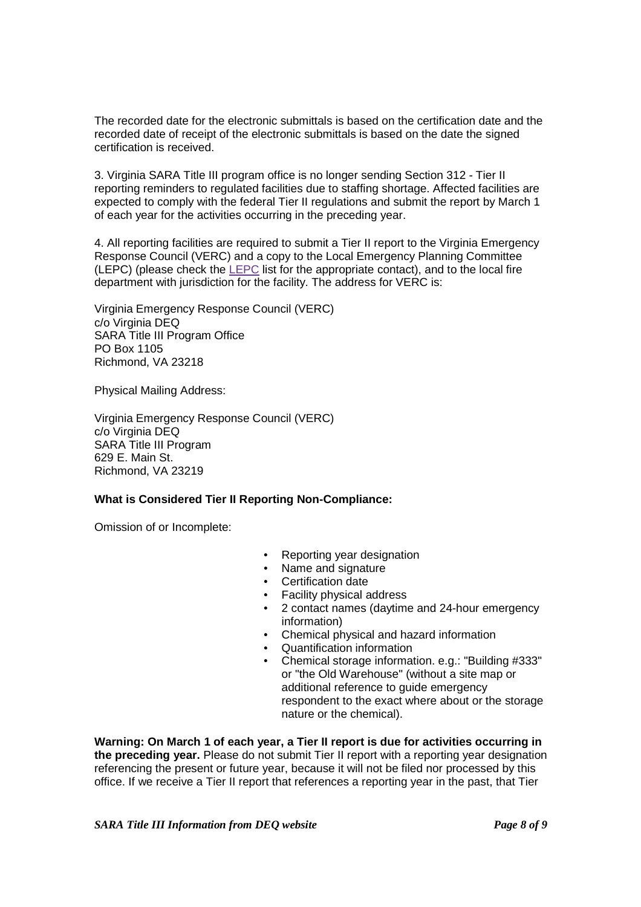The recorded date for the electronic submittals is based on the certification date and the recorded date of receipt of the electronic submittals is based on the date the signed certification is received.

3. Virginia SARA Title III program office is no longer sending Section 312 - Tier II reporting reminders to regulated facilities due to staffing shortage. Affected facilities are expected to comply with the federal Tier II regulations and submit the report by March 1 of each year for the activities occurring in the preceding year.

4. All reporting facilities are required to submit a Tier II report to the Virginia Emergency Response Council (VERC) and a copy to the Local Emergency Planning Committee (LEPC) (please check the LEPC list for the appropriate contact), and to the local fire department with jurisdiction for the facility. The address for VERC is:

Virginia Emergency Response Council (VERC) c/o Virginia DEQ SARA Title III Program Office PO Box 1105 Richmond, VA 23218

Physical Mailing Address:

Virginia Emergency Response Council (VERC) c/o Virginia DEQ SARA Title III Program 629 E. Main St. Richmond, VA 23219

#### **What is Considered Tier II Reporting Non-Compliance:**

Omission of or Incomplete:

- Reporting year designation
- Name and signature
- Certification date
- Facility physical address
- 2 contact names (daytime and 24-hour emergency information)
- Chemical physical and hazard information
- Quantification information
- Chemical storage information. e.g.: "Building #333" or "the Old Warehouse" (without a site map or additional reference to guide emergency respondent to the exact where about or the storage nature or the chemical).

**Warning: On March 1 of each year, a Tier II report is due for activities occurring in the preceding year.** Please do not submit Tier II report with a reporting year designation referencing the present or future year, because it will not be filed nor processed by this office. If we receive a Tier II report that references a reporting year in the past, that Tier